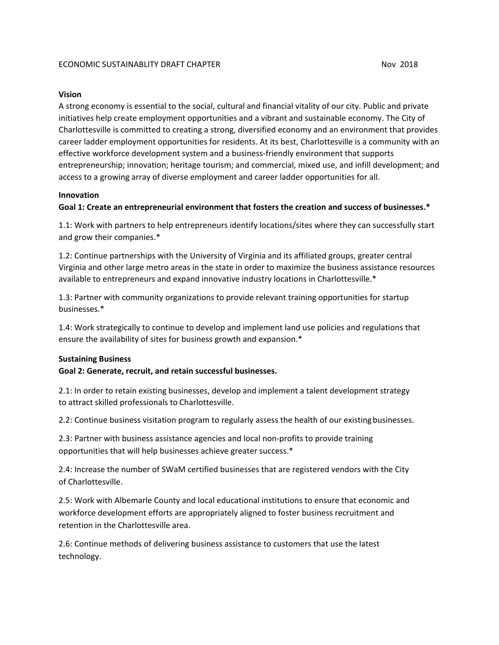### **Vision**

A strong economy is essential to the social, cultural and financial vitality of our city. Public and private initiatives help create employment opportunities and a vibrant and sustainable economy. The City of Charlottesville is committed to creating a strong, diversified economy and an environment that provides career ladder employment opportunities for residents. At its best, Charlottesville is a community with an effective workforce development system and a business-friendly environment that supports entrepreneurship; innovation; heritage tourism; and commercial, mixed use, and infill development; and access to a growing array of diverse employment and career ladder opportunities for all.

## **Innovation**

## **Goal 1: Create an entrepreneurial environment that fosters the creation and success of businesses.\***

1.1: Work with partners to help entrepreneurs identify locations/sites where they can successfully start and grow their companies.\*

1.2: Continue partnerships with the University of Virginia and its affiliated groups, greater central Virginia and other large metro areas in the state in order to maximize the business assistance resources available to entrepreneurs and expand innovative industry locations in Charlottesville.\*

1.3: Partner with community organizations to provide relevant training opportunities for startup businesses.\*

1.4: Work strategically to continue to develop and implement land use policies and regulations that ensure the availability of sites for business growth and expansion.\*

#### **Sustaining Business**

#### **Goal 2: Generate, recruit, and retain successful businesses.**

2.1: In order to retain existing businesses, develop and implement a talent development strategy to attract skilled professionals to Charlottesville.

2.2: Continue business visitation program to regularly assess the health of our existingbusinesses.

2.3: Partner with business assistance agencies and local non-profits to provide training opportunities that will help businesses achieve greater success.\*

2.4: Increase the number of SWaM certified businesses that are registered vendors with the City of Charlottesville.

2.5: Work with Albemarle County and local educational institutions to ensure that economic and workforce development efforts are appropriately aligned to foster business recruitment and retention in the Charlottesville area.

2.6: Continue methods of delivering business assistance to customers that use the latest technology.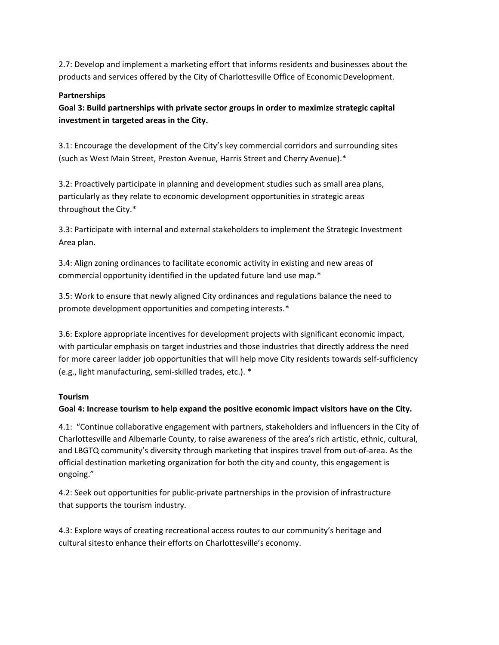2.7: Develop and implement a marketing effort that informs residents and businesses about the products and services offered by the City of Charlottesville Office of Economic Development.

## **Partnerships**

**Goal 3: Build partnerships with private sector groups in order to maximize strategic capital investment in targeted areas in the City.**

3.1: Encourage the development of the City's key commercial corridors and surrounding sites (such as West Main Street, Preston Avenue, Harris Street and Cherry Avenue).\*

3.2: Proactively participate in planning and development studies such as small area plans, particularly as they relate to economic development opportunities in strategic areas throughout the City.\*

3.3: Participate with internal and external stakeholders to implement the Strategic Investment Area plan.

3.4: Align zoning ordinances to facilitate economic activity in existing and new areas of commercial opportunity identified in the updated future land use map.\*

3.5: Work to ensure that newly aligned City ordinances and regulations balance the need to promote development opportunities and competing interests.\*

3.6: Explore appropriate incentives for development projects with significant economic impact, with particular emphasis on target industries and those industries that directly address the need for more career ladder job opportunities that will help move City residents towards self-sufficiency (e.g., light manufacturing, semi-skilled trades, etc.). \*

# **Tourism**

# **Goal 4: Increase tourism to help expand the positive economic impact visitors have on the City.**

4.1: "Continue collaborative engagement with partners, stakeholders and influencers in the City of Charlottesville and Albemarle County, to raise awareness of the area's rich artistic, ethnic, cultural, and LBGTQ community's diversity through marketing that inspires travel from out-of-area. As the official destination marketing organization for both the city and county, this engagement is ongoing."

4.2: Seek out opportunities for public-private partnerships in the provision of infrastructure that supports the tourism industry.

4.3: Explore ways of creating recreational access routes to our community's heritage and cultural sitesto enhance their efforts on Charlottesville's economy.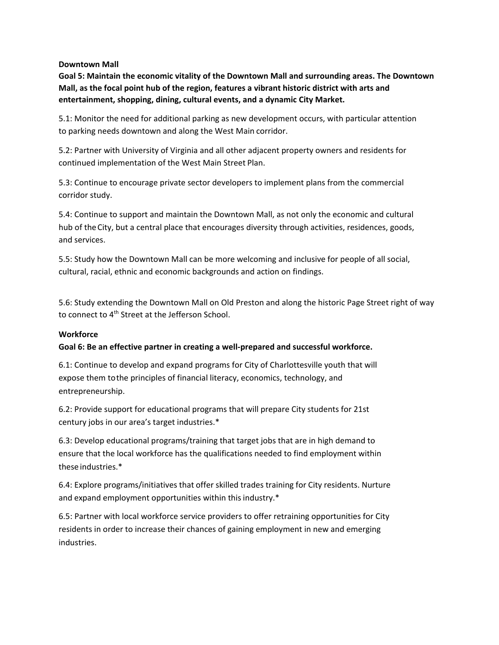### **Downtown Mall**

**Goal 5: Maintain the economic vitality of the Downtown Mall and surrounding areas. The Downtown Mall, as the focal point hub of the region, features a vibrant historic district with arts and entertainment, shopping, dining, cultural events, and a dynamic City Market.**

5.1: Monitor the need for additional parking as new development occurs, with particular attention to parking needs downtown and along the West Main corridor.

5.2: Partner with University of Virginia and all other adjacent property owners and residents for continued implementation of the West Main Street Plan.

5.3: Continue to encourage private sector developers to implement plans from the commercial corridor study.

5.4: Continue to support and maintain the Downtown Mall, as not only the economic and cultural hub of theCity, but a central place that encourages diversity through activities, residences, goods, and services.

5.5: Study how the Downtown Mall can be more welcoming and inclusive for people of all social, cultural, racial, ethnic and economic backgrounds and action on findings.

5.6: Study extending the Downtown Mall on Old Preston and along the historic Page Street right of way to connect to 4<sup>th</sup> Street at the Jefferson School.

## **Workforce**

## **Goal 6: Be an effective partner in creating a well-prepared and successful workforce.**

6.1: Continue to develop and expand programs for City of Charlottesville youth that will expose them tothe principles of financial literacy, economics, technology, and entrepreneurship.

6.2: Provide support for educational programs that will prepare City students for 21st century jobs in our area's target industries.\*

6.3: Develop educational programs/training that target jobs that are in high demand to ensure that the local workforce has the qualifications needed to find employment within these industries.\*

6.4: Explore programs/initiatives that offer skilled trades training for City residents. Nurture and expand employment opportunities within this industry.\*

6.5: Partner with local workforce service providers to offer retraining opportunities for City residents in order to increase their chances of gaining employment in new and emerging industries.